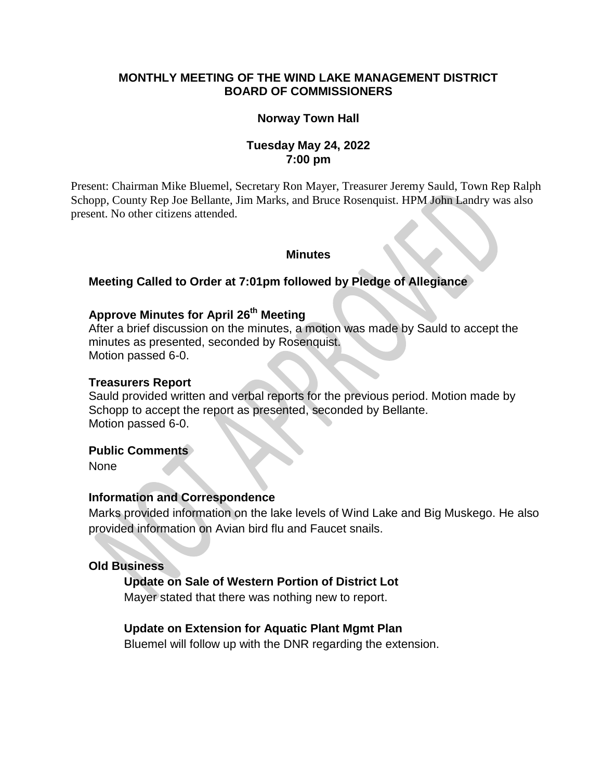## **MONTHLY MEETING OF THE WIND LAKE MANAGEMENT DISTRICT BOARD OF COMMISSIONERS**

## **Norway Town Hall**

### **Tuesday May 24, 2022 7:00 pm**

Present: Chairman Mike Bluemel, Secretary Ron Mayer, Treasurer Jeremy Sauld, Town Rep Ralph Schopp, County Rep Joe Bellante, Jim Marks, and Bruce Rosenquist. HPM John Landry was also present. No other citizens attended.

#### **Minutes**

#### **Meeting Called to Order at 7:01pm followed by Pledge of Allegiance**

# **Approve Minutes for April 26 th Meeting**

After a brief discussion on the minutes, a motion was made by Sauld to accept the minutes as presented, seconded by Rosenquist. Motion passed 6-0.

#### **Treasurers Report**

Sauld provided written and verbal reports for the previous period. Motion made by Schopp to accept the report as presented, seconded by Bellante. Motion passed 6-0.

#### **Public Comments**

None

#### **Information and Correspondence**

Marks provided information on the lake levels of Wind Lake and Big Muskego. He also provided information on Avian bird flu and Faucet snails.

## **Old Business**

#### **Update on Sale of Western Portion of District Lot**

Mayer stated that there was nothing new to report.

#### **Update on Extension for Aquatic Plant Mgmt Plan**

Bluemel will follow up with the DNR regarding the extension.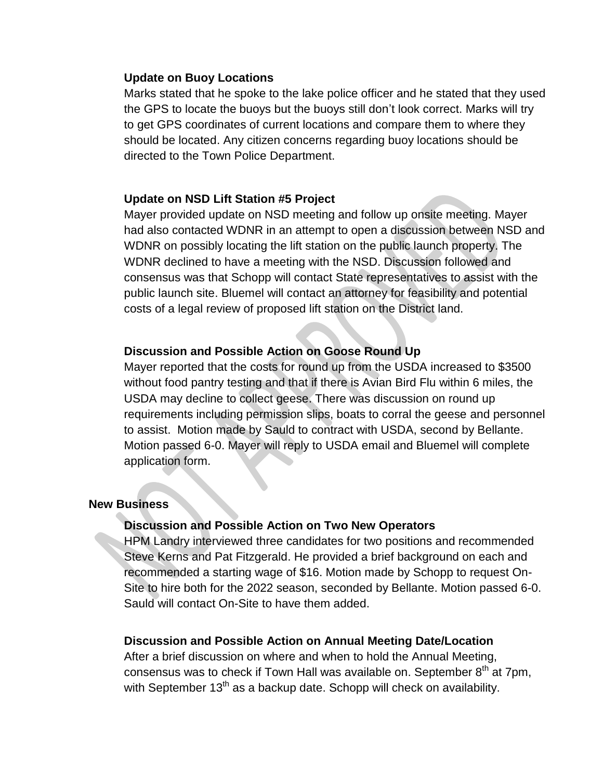#### **Update on Buoy Locations**

Marks stated that he spoke to the lake police officer and he stated that they used the GPS to locate the buoys but the buoys still don't look correct. Marks will try to get GPS coordinates of current locations and compare them to where they should be located. Any citizen concerns regarding buoy locations should be directed to the Town Police Department.

## **Update on NSD Lift Station #5 Project**

Mayer provided update on NSD meeting and follow up onsite meeting. Mayer had also contacted WDNR in an attempt to open a discussion between NSD and WDNR on possibly locating the lift station on the public launch property. The WDNR declined to have a meeting with the NSD. Discussion followed and consensus was that Schopp will contact State representatives to assist with the public launch site. Bluemel will contact an attorney for feasibility and potential costs of a legal review of proposed lift station on the District land.

# **Discussion and Possible Action on Goose Round Up**

Mayer reported that the costs for round up from the USDA increased to \$3500 without food pantry testing and that if there is Avian Bird Flu within 6 miles, the USDA may decline to collect geese. There was discussion on round up requirements including permission slips, boats to corral the geese and personnel to assist. Motion made by Sauld to contract with USDA, second by Bellante. Motion passed 6-0. Mayer will reply to USDA email and Bluemel will complete application form.

### **New Business**

## **Discussion and Possible Action on Two New Operators**

HPM Landry interviewed three candidates for two positions and recommended Steve Kerns and Pat Fitzgerald. He provided a brief background on each and recommended a starting wage of \$16. Motion made by Schopp to request On-Site to hire both for the 2022 season, seconded by Bellante. Motion passed 6-0. Sauld will contact On-Site to have them added.

### **Discussion and Possible Action on Annual Meeting Date/Location**

After a brief discussion on where and when to hold the Annual Meeting, consensus was to check if Town Hall was available on. September  $8<sup>th</sup>$  at 7pm, with September  $13<sup>th</sup>$  as a backup date. Schopp will check on availability.